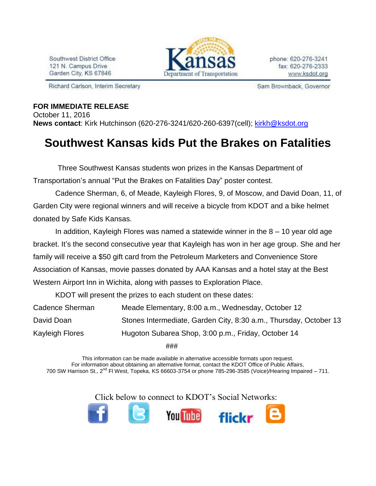Southwest District Office 121 N. Campus Drive Garden City, KS 67846

Richard Carlson, Interim Secretary



Sam Brownback, Governor

## **FOR IMMEDIATE RELEASE**

October 11, 2016 **News contact**: Kirk Hutchinson (620-276-3241/620-260-6397(cell); [kirkh@ksdot.org](mailto:kirkh@ksdot.org)

## **Southwest Kansas kids Put the Brakes on Fatalities**

 Three Southwest Kansas students won prizes in the Kansas Department of Transportation's annual "Put the Brakes on Fatalities Day" poster contest.

Cadence Sherman, 6, of Meade, Kayleigh Flores, 9, of Moscow, and David Doan, 11, of Garden City were regional winners and will receive a bicycle from KDOT and a bike helmet donated by Safe Kids Kansas.

In addition, Kayleigh Flores was named a statewide winner in the 8 – 10 year old age bracket. It's the second consecutive year that Kayleigh has won in her age group. She and her family will receive a \$50 gift card from the Petroleum Marketers and Convenience Store Association of Kansas, movie passes donated by AAA Kansas and a hotel stay at the Best Western Airport Inn in Wichita, along with passes to Exploration Place.

KDOT will present the prizes to each student on these dates:

| Cadence Sherman | Meade Elementary, 8:00 a.m., Wednesday, October 12                |
|-----------------|-------------------------------------------------------------------|
| David Doan      | Stones Intermediate, Garden City, 8:30 a.m., Thursday, October 13 |
| Kayleigh Flores | Hugoton Subarea Shop, 3:00 p.m., Friday, October 14               |
|                 |                                                                   |

###

This information can be made available in alternative accessible formats upon request. For information about obtaining an alternative format, contact the KDOT Office of Public Affairs, 700 SW Harrison St., 2<sup>nd</sup> Fl West, Topeka, KS 66603-3754 or phone 785-296-3585 (Voice)/Hearing Impaired – 711.

Click below to connect to KDOT's Social Networks: